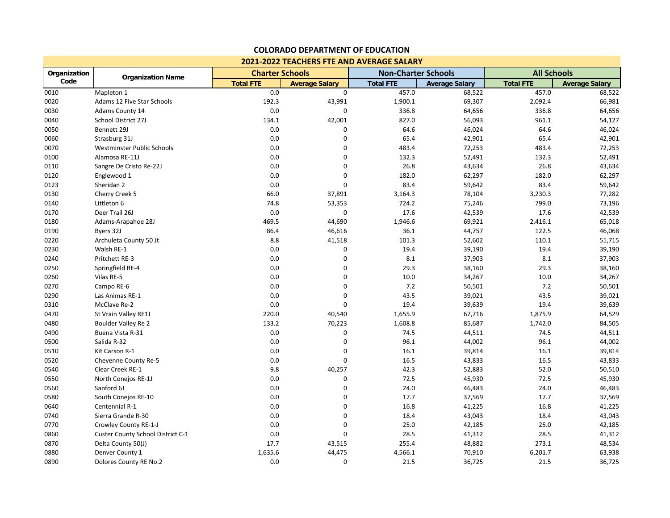| 2021-2022 TEACHERS FTE AND AVERAGE SALARY |                                   |                        |                       |                            |                       |                    |                       |  |  |
|-------------------------------------------|-----------------------------------|------------------------|-----------------------|----------------------------|-----------------------|--------------------|-----------------------|--|--|
| Organization                              | <b>Organization Name</b>          | <b>Charter Schools</b> |                       | <b>Non-Charter Schools</b> |                       | <b>All Schools</b> |                       |  |  |
| Code                                      |                                   | <b>Total FTE</b>       | <b>Average Salary</b> | <b>Total FTE</b>           | <b>Average Salary</b> | <b>Total FTE</b>   | <b>Average Salary</b> |  |  |
| 0010                                      | Mapleton 1                        | 0.0                    | 0                     | 457.0                      | 68,522                | 457.0              | 68,522                |  |  |
| 0020                                      | Adams 12 Five Star Schools        | 192.3                  | 43,991                | 1,900.1                    | 69,307                | 2,092.4            | 66,981                |  |  |
| 0030                                      | Adams County 14                   | 0.0                    | 0                     | 336.8                      | 64,656                | 336.8              | 64,656                |  |  |
| 0040                                      | School District 27J               | 134.1                  | 42,001                | 827.0                      | 56,093                | 961.1              | 54,127                |  |  |
| 0050                                      | Bennett 29J                       | 0.0                    | $\Omega$              | 64.6                       | 46,024                | 64.6               | 46,024                |  |  |
| 0060                                      | Strasburg 31J                     | 0.0                    | 0                     | 65.4                       | 42,901                | 65.4               | 42,901                |  |  |
| 0070                                      | Westminster Public Schools        | 0.0                    | 0                     | 483.4                      | 72,253                | 483.4              | 72,253                |  |  |
| 0100                                      | Alamosa RE-11J                    | 0.0                    | $\Omega$              | 132.3                      | 52,491                | 132.3              | 52,491                |  |  |
| 0110                                      | Sangre De Cristo Re-22J           | 0.0                    | 0                     | 26.8                       | 43,634                | 26.8               | 43,634                |  |  |
| 0120                                      | Englewood 1                       | 0.0                    | $\mathbf 0$           | 182.0                      | 62,297                | 182.0              | 62,297                |  |  |
| 0123                                      | Sheridan 2                        | 0.0                    | $\Omega$              | 83.4                       | 59,642                | 83.4               | 59,642                |  |  |
| 0130                                      | Cherry Creek 5                    | 66.0                   | 37,891                | 3,164.3                    | 78,104                | 3,230.3            | 77,282                |  |  |
| 0140                                      | Littleton 6                       | 74.8                   | 53,353                | 724.2                      | 75,246                | 799.0              | 73,196                |  |  |
| 0170                                      | Deer Trail 26J                    | 0.0                    | 0                     | 17.6                       | 42,539                | 17.6               | 42,539                |  |  |
| 0180                                      | Adams-Arapahoe 28J                | 469.5                  | 44,690                | 1,946.6                    | 69,921                | 2,416.1            | 65,018                |  |  |
| 0190                                      | Byers 32J                         | 86.4                   | 46,616                | 36.1                       | 44,757                | 122.5              | 46,068                |  |  |
| 0220                                      | Archuleta County 50 Jt            | 8.8                    | 41,518                | 101.3                      | 52,602                | 110.1              | 51,715                |  |  |
| 0230                                      | Walsh RE-1                        | 0.0                    | $\Omega$              | 19.4                       | 39,190                | 19.4               | 39,190                |  |  |
| 0240                                      | Pritchett RE-3                    | 0.0                    | 0                     | 8.1                        | 37,903                | 8.1                | 37,903                |  |  |
| 0250                                      | Springfield RE-4                  | 0.0                    | $\mathbf 0$           | 29.3                       | 38,160                | 29.3               | 38,160                |  |  |
| 0260                                      | Vilas RE-5                        | 0.0                    | $\Omega$              | 10.0                       | 34,267                | 10.0               | 34,267                |  |  |
| 0270                                      | Campo RE-6                        | 0.0                    | 0                     | 7.2                        | 50,501                | $7.2$              | 50,501                |  |  |
| 0290                                      | Las Animas RE-1                   | 0.0                    | 0                     | 43.5                       | 39,021                | 43.5               | 39,021                |  |  |
| 0310                                      | McClave Re-2                      | 0.0                    | $\Omega$              | 19.4                       | 39,639                | 19.4               | 39,639                |  |  |
| 0470                                      | St Vrain Valley RE1J              | 220.0                  | 40,540                | 1,655.9                    | 67,716                | 1,875.9            | 64,529                |  |  |
| 0480                                      | Boulder Valley Re 2               | 133.2                  | 70,223                | 1,608.8                    | 85,687                | 1,742.0            | 84,505                |  |  |
| 0490                                      | Buena Vista R-31                  | 0.0                    | 0                     | 74.5                       | 44,511                | 74.5               | 44,511                |  |  |
| 0500                                      | Salida R-32                       | 0.0                    | $\mathbf 0$           | 96.1                       | 44,002                | 96.1               | 44,002                |  |  |
| 0510                                      | Kit Carson R-1                    | 0.0                    | $\Omega$              | 16.1                       | 39,814                | 16.1               | 39,814                |  |  |
| 0520                                      | Cheyenne County Re-5              | 0.0                    | 0                     | 16.5                       | 43,833                | 16.5               | 43,833                |  |  |
| 0540                                      | Clear Creek RE-1                  | 9.8                    | 40,257                | 42.3                       | 52,883                | 52.0               | 50,510                |  |  |
| 0550                                      | North Conejos RE-1J               | 0.0                    | 0                     | 72.5                       | 45,930                | 72.5               | 45,930                |  |  |
| 0560                                      | Sanford 6J                        | 0.0                    | $\mathbf 0$           | 24.0                       | 46,483                | 24.0               | 46,483                |  |  |
| 0580                                      | South Conejos RE-10               | 0.0                    | $\Omega$              | 17.7                       | 37,569                | 17.7               | 37,569                |  |  |
| 0640                                      | Centennial R-1                    | 0.0                    | 0                     | 16.8                       | 41,225                | 16.8               | 41,225                |  |  |
| 0740                                      | Sierra Grande R-30                | 0.0                    | $\mathbf 0$           | 18.4                       | 43,043                | 18.4               | 43,043                |  |  |
| 0770                                      | Crowley County RE-1-J             | 0.0                    | $\mathbf 0$           | 25.0                       | 42,185                | 25.0               | 42,185                |  |  |
| 0860                                      | Custer County School District C-1 | 0.0                    | 0                     | 28.5                       | 41,312                | 28.5               | 41,312                |  |  |
| 0870                                      | Delta County 50(J)                | 17.7                   | 43,515                | 255.4                      | 48,882                | 273.1              | 48,534                |  |  |
| 0880                                      | Denver County 1                   | 1,635.6                | 44,475                | 4,566.1                    | 70,910                | 6,201.7            | 63,938                |  |  |
| 0890                                      | Dolores County RE No.2            | 0.0                    | $\mathbf 0$           | 21.5                       | 36,725                | 21.5               | 36,725                |  |  |

## **COLORADO DEPARTMENT OF EDUCATION**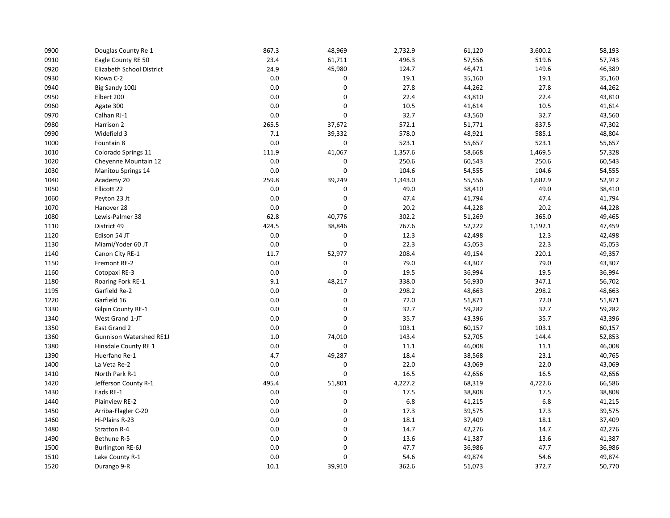| 0900 | Douglas County Re 1            | 867.3   | 48,969 | 2,732.9 | 61,120 | 3,600.2 | 58,193 |
|------|--------------------------------|---------|--------|---------|--------|---------|--------|
| 0910 | Eagle County RE 50             | 23.4    | 61,711 | 496.3   | 57,556 | 519.6   | 57,743 |
| 0920 | Elizabeth School District      | 24.9    | 45,980 | 124.7   | 46,471 | 149.6   | 46,389 |
| 0930 | Kiowa C-2                      | 0.0     | 0      | 19.1    | 35,160 | 19.1    | 35,160 |
| 0940 | Big Sandy 100J                 | 0.0     | 0      | 27.8    | 44,262 | 27.8    | 44,262 |
| 0950 | Elbert 200                     | 0.0     | 0      | 22.4    | 43,810 | 22.4    | 43,810 |
| 0960 | Agate 300                      | 0.0     | 0      | 10.5    | 41,614 | 10.5    | 41,614 |
| 0970 | Calhan RJ-1                    | 0.0     | 0      | 32.7    | 43,560 | 32.7    | 43,560 |
| 0980 | Harrison 2                     | 265.5   | 37,672 | 572.1   | 51,771 | 837.5   | 47,302 |
| 0990 | Widefield 3                    | 7.1     | 39,332 | 578.0   | 48,921 | 585.1   | 48,804 |
| 1000 | Fountain 8                     | $0.0\,$ | 0      | 523.1   | 55,657 | 523.1   | 55,657 |
| 1010 | Colorado Springs 11            | 111.9   | 41,067 | 1,357.6 | 58,668 | 1,469.5 | 57,328 |
| 1020 | Cheyenne Mountain 12           | 0.0     | 0      | 250.6   | 60,543 | 250.6   | 60,543 |
| 1030 | <b>Manitou Springs 14</b>      | 0.0     | 0      | 104.6   | 54,555 | 104.6   | 54,555 |
| 1040 | Academy 20                     | 259.8   | 39,249 | 1,343.0 | 55,556 | 1,602.9 | 52,912 |
| 1050 | Ellicott 22                    | 0.0     | 0      | 49.0    | 38,410 | 49.0    | 38,410 |
| 1060 | Peyton 23 Jt                   | 0.0     | 0      | 47.4    | 41,794 | 47.4    | 41,794 |
| 1070 | Hanover 28                     | 0.0     | 0      | 20.2    | 44,228 | 20.2    | 44,228 |
| 1080 | Lewis-Palmer 38                | 62.8    | 40,776 | 302.2   | 51,269 | 365.0   | 49,465 |
| 1110 | District 49                    | 424.5   | 38,846 | 767.6   | 52,222 | 1,192.1 | 47,459 |
| 1120 | Edison 54 JT                   | 0.0     | 0      | 12.3    | 42,498 | 12.3    | 42,498 |
| 1130 | Miami/Yoder 60 JT              | 0.0     | 0      | 22.3    | 45,053 | 22.3    | 45,053 |
| 1140 | Canon City RE-1                | 11.7    | 52,977 | 208.4   | 49,154 | 220.1   | 49,357 |
| 1150 | Fremont RE-2                   | 0.0     | 0      | 79.0    | 43,307 | 79.0    | 43,307 |
| 1160 | Cotopaxi RE-3                  | 0.0     | 0      | 19.5    | 36,994 | 19.5    | 36,994 |
| 1180 | Roaring Fork RE-1              | 9.1     | 48,217 | 338.0   | 56,930 | 347.1   | 56,702 |
| 1195 | Garfield Re-2                  | 0.0     | 0      | 298.2   | 48,663 | 298.2   | 48,663 |
| 1220 | Garfield 16                    | 0.0     | 0      | 72.0    | 51,871 | 72.0    | 51,871 |
| 1330 | Gilpin County RE-1             | 0.0     | 0      | 32.7    | 59,282 | 32.7    | 59,282 |
| 1340 | West Grand 1-JT                | 0.0     | 0      | 35.7    | 43,396 | 35.7    | 43,396 |
| 1350 | East Grand 2                   | 0.0     | 0      | 103.1   | 60,157 | 103.1   | 60,157 |
| 1360 | <b>Gunnison Watershed RE1J</b> | 1.0     | 74,010 | 143.4   | 52,705 | 144.4   | 52,853 |
| 1380 | Hinsdale County RE 1           | 0.0     | 0      | 11.1    | 46,008 | 11.1    | 46,008 |
| 1390 | Huerfano Re-1                  | 4.7     | 49,287 | 18.4    | 38,568 | 23.1    | 40,765 |
| 1400 | La Veta Re-2                   | 0.0     | 0      | 22.0    | 43,069 | 22.0    | 43,069 |
| 1410 | North Park R-1                 | 0.0     | 0      | 16.5    | 42,656 | 16.5    | 42,656 |
| 1420 | Jefferson County R-1           | 495.4   | 51,801 | 4,227.2 | 68,319 | 4,722.6 | 66,586 |
| 1430 | Eads RE-1                      | 0.0     | 0      | 17.5    | 38,808 | 17.5    | 38,808 |
| 1440 | Plainview RE-2                 | 0.0     | 0      | 6.8     | 41,215 | 6.8     | 41,215 |
| 1450 | Arriba-Flagler C-20            | 0.0     | 0      | 17.3    | 39,575 | 17.3    | 39,575 |
| 1460 | Hi-Plains R-23                 | 0.0     | 0      | 18.1    | 37,409 | 18.1    | 37,409 |
| 1480 | <b>Stratton R-4</b>            | 0.0     | 0      | 14.7    | 42,276 | 14.7    | 42,276 |
| 1490 | Bethune R-5                    | 0.0     | 0      | 13.6    | 41,387 | 13.6    | 41,387 |
| 1500 | <b>Burlington RE-6J</b>        | 0.0     | 0      | 47.7    | 36,986 | 47.7    | 36,986 |
| 1510 | Lake County R-1                | 0.0     | 0      | 54.6    | 49,874 | 54.6    | 49,874 |
| 1520 | Durango 9-R                    | 10.1    | 39,910 | 362.6   | 51,073 | 372.7   | 50,770 |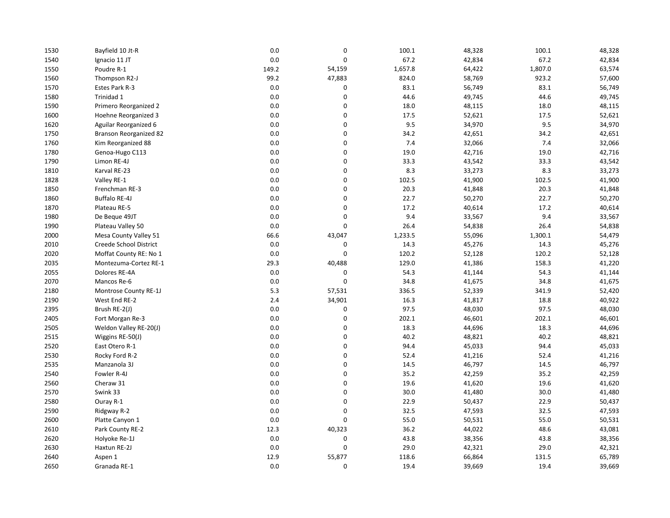| 1530 | Bayfield 10 Jt-R       | 0.0   | 0      | 100.1   | 48,328 | 100.1   | 48,328 |
|------|------------------------|-------|--------|---------|--------|---------|--------|
| 1540 | Ignacio 11 JT          | 0.0   | 0      | 67.2    | 42,834 | 67.2    | 42,834 |
| 1550 | Poudre R-1             | 149.2 | 54,159 | 1,657.8 | 64,422 | 1,807.0 | 63,574 |
| 1560 | Thompson R2-J          | 99.2  | 47,883 | 824.0   | 58,769 | 923.2   | 57,600 |
| 1570 | Estes Park R-3         | 0.0   | 0      | 83.1    | 56,749 | 83.1    | 56,749 |
| 1580 | Trinidad 1             | 0.0   | 0      | 44.6    | 49,745 | 44.6    | 49,745 |
| 1590 | Primero Reorganized 2  | 0.0   | 0      | 18.0    | 48,115 | 18.0    | 48,115 |
| 1600 | Hoehne Reorganized 3   | 0.0   | 0      | 17.5    | 52,621 | 17.5    | 52,621 |
| 1620 | Aguilar Reorganized 6  | 0.0   | 0      | 9.5     | 34,970 | 9.5     | 34,970 |
| 1750 | Branson Reorganized 82 | 0.0   | 0      | 34.2    | 42,651 | 34.2    | 42,651 |
| 1760 | Kim Reorganized 88     | 0.0   | 0      | 7.4     | 32,066 | 7.4     | 32,066 |
| 1780 | Genoa-Hugo C113        | 0.0   | 0      | 19.0    | 42,716 | 19.0    | 42,716 |
| 1790 | Limon RE-4J            | 0.0   | 0      | 33.3    | 43,542 | 33.3    | 43,542 |
| 1810 | Karval RE-23           | 0.0   | 0      | 8.3     | 33,273 | 8.3     | 33,273 |
| 1828 | Valley RE-1            | 0.0   | 0      | 102.5   | 41,900 | 102.5   | 41,900 |
| 1850 | Frenchman RE-3         | 0.0   | 0      | 20.3    | 41,848 | 20.3    | 41,848 |
| 1860 | Buffalo RE-4J          | 0.0   | 0      | 22.7    | 50,270 | 22.7    | 50,270 |
| 1870 | Plateau RE-5           | 0.0   | 0      | 17.2    | 40,614 | 17.2    | 40,614 |
| 1980 | De Beque 49JT          | 0.0   | 0      | 9.4     | 33,567 | 9.4     | 33,567 |
| 1990 | Plateau Valley 50      | 0.0   | 0      | 26.4    | 54,838 | 26.4    | 54,838 |
| 2000 | Mesa County Valley 51  | 66.6  | 43,047 | 1,233.5 | 55,096 | 1,300.1 | 54,479 |
| 2010 | Creede School District | 0.0   | 0      | 14.3    | 45,276 | 14.3    | 45,276 |
| 2020 | Moffat County RE: No 1 | 0.0   | 0      | 120.2   | 52,128 | 120.2   | 52,128 |
| 2035 | Montezuma-Cortez RE-1  | 29.3  | 40,488 | 129.0   | 41,386 | 158.3   | 41,220 |
| 2055 | Dolores RE-4A          | 0.0   | 0      | 54.3    | 41,144 | 54.3    | 41,144 |
| 2070 | Mancos Re-6            | 0.0   | 0      | 34.8    | 41,675 | 34.8    | 41,675 |
| 2180 | Montrose County RE-1J  | 5.3   | 57,531 | 336.5   | 52,339 | 341.9   | 52,420 |
| 2190 | West End RE-2          | 2.4   | 34,901 | 16.3    | 41,817 | 18.8    | 40,922 |
| 2395 | Brush RE-2(J)          | 0.0   | 0      | 97.5    | 48,030 | 97.5    | 48,030 |
| 2405 | Fort Morgan Re-3       | 0.0   | 0      | 202.1   | 46,601 | 202.1   | 46,601 |
| 2505 | Weldon Valley RE-20(J) | 0.0   | 0      | 18.3    | 44,696 | 18.3    | 44,696 |
| 2515 | Wiggins RE-50(J)       | 0.0   | 0      | 40.2    | 48,821 | 40.2    | 48,821 |
| 2520 | East Otero R-1         | 0.0   | 0      | 94.4    | 45,033 | 94.4    | 45,033 |
| 2530 | Rocky Ford R-2         | 0.0   | 0      | 52.4    | 41,216 | 52.4    | 41,216 |
| 2535 | Manzanola 3J           | 0.0   | 0      | 14.5    | 46,797 | 14.5    | 46,797 |
| 2540 | Fowler R-4J            | 0.0   | 0      | 35.2    | 42,259 | 35.2    | 42,259 |
| 2560 | Cheraw 31              | 0.0   | 0      | 19.6    | 41,620 | 19.6    | 41,620 |
| 2570 | Swink 33               | 0.0   | 0      | 30.0    | 41,480 | 30.0    | 41,480 |
| 2580 | Ouray R-1              | 0.0   | 0      | 22.9    | 50,437 | 22.9    | 50,437 |
| 2590 | Ridgway R-2            | 0.0   | 0      | 32.5    | 47,593 | 32.5    | 47,593 |
| 2600 | Platte Canyon 1        | 0.0   | 0      | 55.0    | 50,531 | 55.0    | 50,531 |
| 2610 | Park County RE-2       | 12.3  | 40,323 | 36.2    | 44,022 | 48.6    | 43,081 |
| 2620 | Holyoke Re-1J          | 0.0   | 0      | 43.8    | 38,356 | 43.8    | 38,356 |
| 2630 | Haxtun RE-2J           | 0.0   | 0      | 29.0    | 42,321 | 29.0    | 42,321 |
| 2640 | Aspen 1                | 12.9  | 55,877 | 118.6   | 66,864 | 131.5   | 65,789 |
| 2650 | Granada RE-1           | 0.0   | 0      | 19.4    | 39,669 | 19.4    | 39,669 |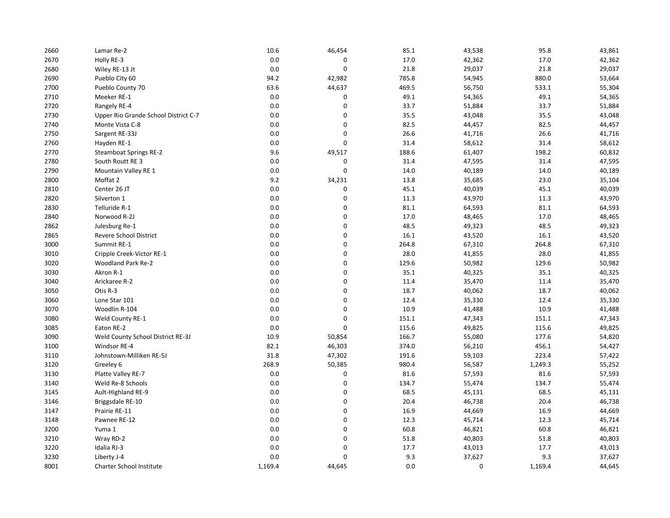| 2660 | Lamar Re-2                           | 10.6    | 46,454 | 85.1  | 43,538      | 95.8    | 43,861 |
|------|--------------------------------------|---------|--------|-------|-------------|---------|--------|
| 2670 | Holly RE-3                           | 0.0     | 0      | 17.0  | 42,362      | 17.0    | 42,362 |
| 2680 | Wiley RE-13 Jt                       | 0.0     | 0      | 21.8  | 29,037      | 21.8    | 29,037 |
| 2690 | Pueblo City 60                       | 94.2    | 42,982 | 785.8 | 54,945      | 880.0   | 53,664 |
| 2700 | Pueblo County 70                     | 63.6    | 44,637 | 469.5 | 56,750      | 533.1   | 55,304 |
| 2710 | Meeker RE-1                          | 0.0     | 0      | 49.1  | 54,365      | 49.1    | 54,365 |
| 2720 | Rangely RE-4                         | 0.0     | 0      | 33.7  | 51,884      | 33.7    | 51,884 |
| 2730 | Upper Rio Grande School District C-7 | 0.0     | 0      | 35.5  | 43,048      | 35.5    | 43,048 |
| 2740 | Monte Vista C-8                      | 0.0     | 0      | 82.5  | 44,457      | 82.5    | 44,457 |
| 2750 | Sargent RE-33J                       | 0.0     | 0      | 26.6  | 41,716      | 26.6    | 41,716 |
| 2760 | Hayden RE-1                          | 0.0     | 0      | 31.4  | 58,612      | 31.4    | 58,612 |
| 2770 | <b>Steamboat Springs RE-2</b>        | 9.6     | 49,517 | 188.6 | 61,407      | 198.2   | 60,832 |
| 2780 | South Routt RE 3                     | 0.0     | 0      | 31.4  | 47,595      | 31.4    | 47,595 |
| 2790 | Mountain Valley RE 1                 | 0.0     | 0      | 14.0  | 40,189      | 14.0    | 40,189 |
| 2800 | Moffat 2                             | 9.2     | 34,231 | 13.8  | 35,685      | 23.0    | 35,104 |
| 2810 | Center 26 JT                         | 0.0     | 0      | 45.1  | 40,039      | 45.1    | 40,039 |
| 2820 | Silverton 1                          | 0.0     | 0      | 11.3  | 43,970      | 11.3    | 43,970 |
| 2830 | Telluride R-1                        | 0.0     | 0      | 81.1  | 64,593      | 81.1    | 64,593 |
| 2840 | Norwood R-2J                         | 0.0     | 0      | 17.0  | 48,465      | 17.0    | 48,465 |
| 2862 | Julesburg Re-1                       | 0.0     | 0      | 48.5  | 49,323      | 48.5    | 49,323 |
| 2865 | Revere School District               | 0.0     | 0      | 16.1  | 43,520      | 16.1    | 43,520 |
| 3000 | Summit RE-1                          | 0.0     | 0      | 264.8 | 67,310      | 264.8   | 67,310 |
| 3010 | Cripple Creek-Victor RE-1            | 0.0     | 0      | 28.0  | 41,855      | 28.0    | 41,855 |
| 3020 | Woodland Park Re-2                   | 0.0     | 0      | 129.6 | 50,982      | 129.6   | 50,982 |
| 3030 | Akron R-1                            | 0.0     | 0      | 35.1  | 40,325      | 35.1    | 40,325 |
| 3040 | Arickaree R-2                        | 0.0     | 0      | 11.4  | 35,470      | 11.4    | 35,470 |
| 3050 | Otis R-3                             | 0.0     | 0      | 18.7  | 40,062      | 18.7    | 40,062 |
| 3060 | Lone Star 101                        | 0.0     | 0      | 12.4  | 35,330      | 12.4    | 35,330 |
| 3070 | Woodlin R-104                        | 0.0     | 0      | 10.9  | 41,488      | 10.9    | 41,488 |
| 3080 | Weld County RE-1                     | 0.0     | 0      | 151.1 | 47,343      | 151.1   | 47,343 |
| 3085 | Eaton RE-2                           | 0.0     | 0      | 115.6 | 49,825      | 115.6   | 49,825 |
| 3090 | Weld County School District RE-3J    | 10.9    | 50,854 | 166.7 | 55,080      | 177.6   | 54,820 |
| 3100 | Windsor RE-4                         | 82.1    | 46,303 | 374.0 | 56,210      | 456.1   | 54,427 |
| 3110 | Johnstown-Milliken RE-5J             | 31.8    | 47,302 | 191.6 | 59,103      | 223.4   | 57,422 |
| 3120 | Greeley 6                            | 268.9   | 50,385 | 980.4 | 56,587      | 1,249.3 | 55,252 |
| 3130 | Platte Valley RE-7                   | 0.0     | 0      | 81.6  | 57,593      | 81.6    | 57,593 |
| 3140 | Weld Re-8 Schools                    | 0.0     | 0      | 134.7 | 55,474      | 134.7   | 55,474 |
| 3145 | Ault-Highland RE-9                   | 0.0     | 0      | 68.5  | 45,131      | 68.5    | 45,131 |
| 3146 | Briggsdale RE-10                     | 0.0     | 0      | 20.4  | 46,738      | 20.4    | 46,738 |
| 3147 | Prairie RE-11                        | 0.0     | 0      | 16.9  | 44,669      | 16.9    | 44,669 |
| 3148 | Pawnee RE-12                         | 0.0     | 0      | 12.3  | 45,714      | 12.3    | 45,714 |
| 3200 | Yuma 1                               | 0.0     | 0      | 60.8  | 46,821      | 60.8    | 46,821 |
| 3210 | Wray RD-2                            | 0.0     | 0      | 51.8  | 40,803      | 51.8    | 40,803 |
| 3220 | Idalia RJ-3                          | 0.0     | 0      | 17.7  | 43,013      | 17.7    | 43,013 |
| 3230 | Liberty J-4                          | 0.0     | 0      | 9.3   | 37,627      | 9.3     | 37,627 |
| 8001 | Charter School Institute             | 1,169.4 | 44,645 | 0.0   | $\mathbf 0$ | 1,169.4 | 44,645 |